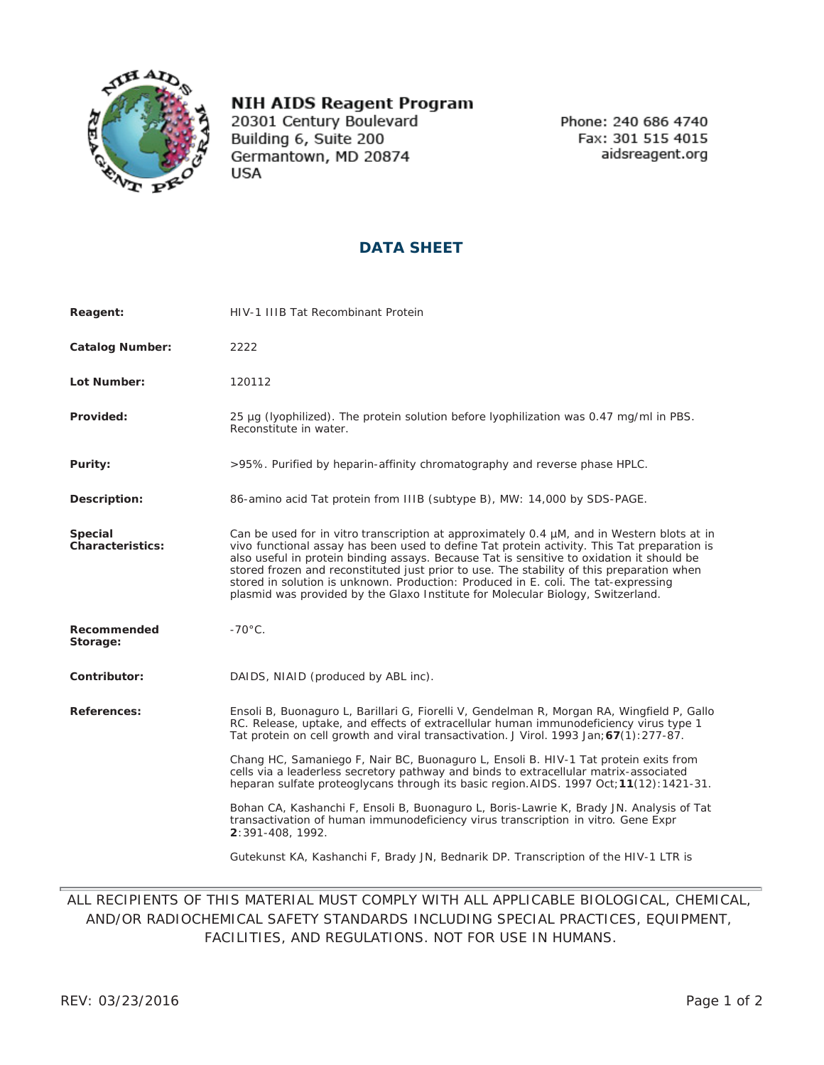

## **NIH AIDS Reagent Program**

20301 Century Boulevard Building 6, Suite 200 Germantown, MD 20874 **USA** 

Phone: 240 686 4740 Fax: 301 515 4015 aidsreagent.org

## **DATA SHEET**

| Reagent:                    | HIV-1 IIIB Tat Recombinant Protein                                                                                                                                                                                                                                                                                                                                                                                                                                                                                                                           |
|-----------------------------|--------------------------------------------------------------------------------------------------------------------------------------------------------------------------------------------------------------------------------------------------------------------------------------------------------------------------------------------------------------------------------------------------------------------------------------------------------------------------------------------------------------------------------------------------------------|
| <b>Catalog Number:</b>      | 2222                                                                                                                                                                                                                                                                                                                                                                                                                                                                                                                                                         |
| Lot Number:                 | 120112                                                                                                                                                                                                                                                                                                                                                                                                                                                                                                                                                       |
| Provided:                   | 25 µq (lyophilized). The protein solution before lyophilization was 0.47 mq/ml in PBS.<br>Reconstitute in water.                                                                                                                                                                                                                                                                                                                                                                                                                                             |
| Purity:                     | >95%. Purified by heparin-affinity chromatography and reverse phase HPLC.                                                                                                                                                                                                                                                                                                                                                                                                                                                                                    |
| Description:                | 86-amino acid Tat protein from IIIB (subtype B), MW: 14,000 by SDS-PAGE.                                                                                                                                                                                                                                                                                                                                                                                                                                                                                     |
| Special<br>Characteristics: | Can be used for in vitro transcription at approximately 0.4 µM, and in Western blots at in<br>vivo functional assay has been used to define Tat protein activity. This Tat preparation is<br>also useful in protein binding assays. Because Tat is sensitive to oxidation it should be<br>stored frozen and reconstituted just prior to use. The stability of this preparation when<br>stored in solution is unknown. Production: Produced in E. coli. The tat-expressing<br>plasmid was provided by the Glaxo Institute for Molecular Biology, Switzerland. |
| Recommended<br>Storage:     | $-70^{\circ}$ C.                                                                                                                                                                                                                                                                                                                                                                                                                                                                                                                                             |
| Contributor:                | DAIDS, NIAID (produced by ABL inc).                                                                                                                                                                                                                                                                                                                                                                                                                                                                                                                          |
| References:                 | Ensoli B, Buonaguro L, Barillari G, Fiorelli V, Gendelman R, Morgan RA, Wingfield P, Gallo<br>RC. Release, uptake, and effects of extracellular human immunodeficiency virus type 1<br>Tat protein on cell growth and viral transactivation. J Virol. 1993 Jan; 67(1): 277-87.                                                                                                                                                                                                                                                                               |
|                             | Chang HC, Samaniego F, Nair BC, Buonaguro L, Ensoli B. HIV-1 Tat protein exits from<br>cells via a leaderless secretory pathway and binds to extracellular matrix-associated<br>heparan sulfate proteoglycans through its basic region. AIDS. 1997 Oct; 11(12): 1421-31.                                                                                                                                                                                                                                                                                     |
|                             | Bohan CA, Kashanchi F, Ensoli B, Buonaguro L, Boris-Lawrie K, Brady JN. Analysis of Tat<br>transactivation of human immunodeficiency virus transcription in vitro. Gene Expr<br>2:391-408, 1992.                                                                                                                                                                                                                                                                                                                                                             |
|                             | Gutekunst KA, Kashanchi F, Brady JN, Bednarik DP. Transcription of the HIV-1 LTR is                                                                                                                                                                                                                                                                                                                                                                                                                                                                          |

## ALL RECIPIENTS OF THIS MATERIAL MUST COMPLY WITH ALL APPLICABLE BIOLOGICAL, CHEMICAL, AND/OR RADIOCHEMICAL SAFETY STANDARDS INCLUDING SPECIAL PRACTICES, EQUIPMENT, FACILITIES, AND REGULATIONS. NOT FOR USE IN HUMANS.